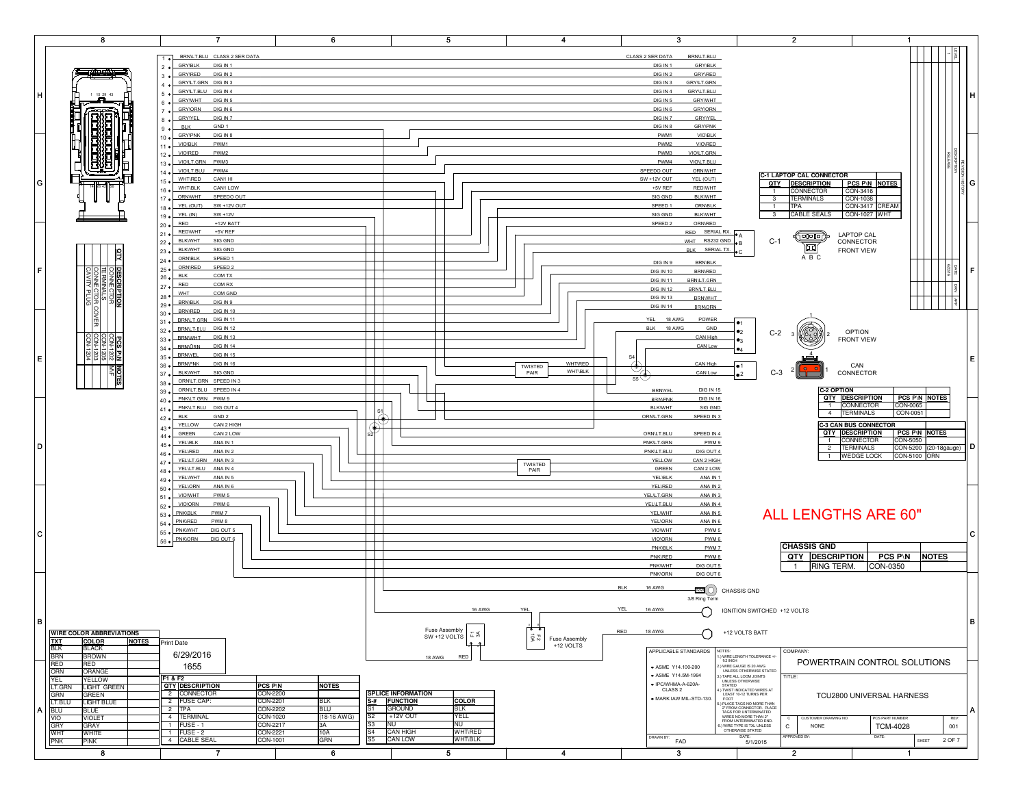